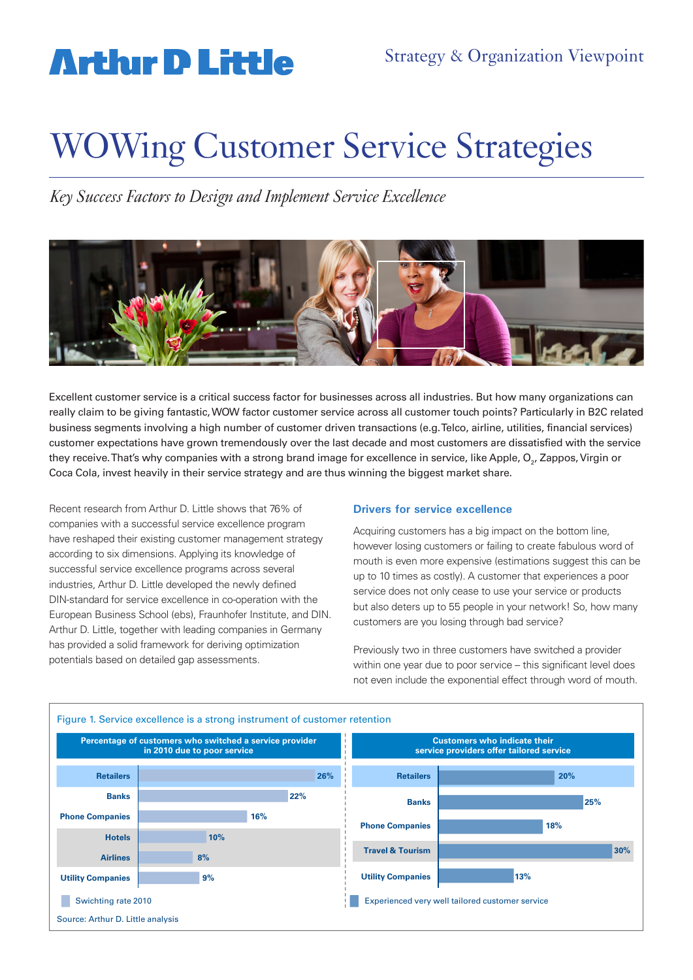## **Arthir D Little**

# WOWing Customer Service Strategies

*Key Success Factors to Design and Implement Service Excellence*



Excellent customer service is a critical success factor for businesses across all industries. But how many organizations can really claim to be giving fantastic, WOW factor customer service across all customer touch points? Particularly in B2C related business segments involving a high number of customer driven transactions (e.g. Telco, airline, utilities, financial services) customer expectations have grown tremendously over the last decade and most customers are dissatisfied with the service they receive.That's why companies with a strong brand image for excellence in service, like Apple, O<sub>2</sub>, Zappos, Virgin or Coca Cola, invest heavily in their service strategy and are thus winning the biggest market share.

Recent research from Arthur D. Little shows that 76% of companies with a successful service excellence program have reshaped their existing customer management strategy according to six dimensions. Applying its knowledge of successful service excellence programs across several industries, Arthur D. Little developed the newly defined DIN-standard for service excellence in co-operation with the European Business School (ebs), Fraunhofer Institute, and DIN. Arthur D. Little, together with leading companies in Germany has provided a solid framework for deriving optimization potentials based on detailed gap assessments.

#### **Drivers for service excellence**

Acquiring customers has a big impact on the bottom line, however losing customers or failing to create fabulous word of mouth is even more expensive (estimations suggest this can be up to 10 times as costly). A customer that experiences a poor service does not only cease to use your service or products but also deters up to 55 people in your network! So, how many customers are you losing through bad service?

Previously two in three customers have switched a provider within one year due to poor service – this significant level does not even include the exponential effect through word of mouth.

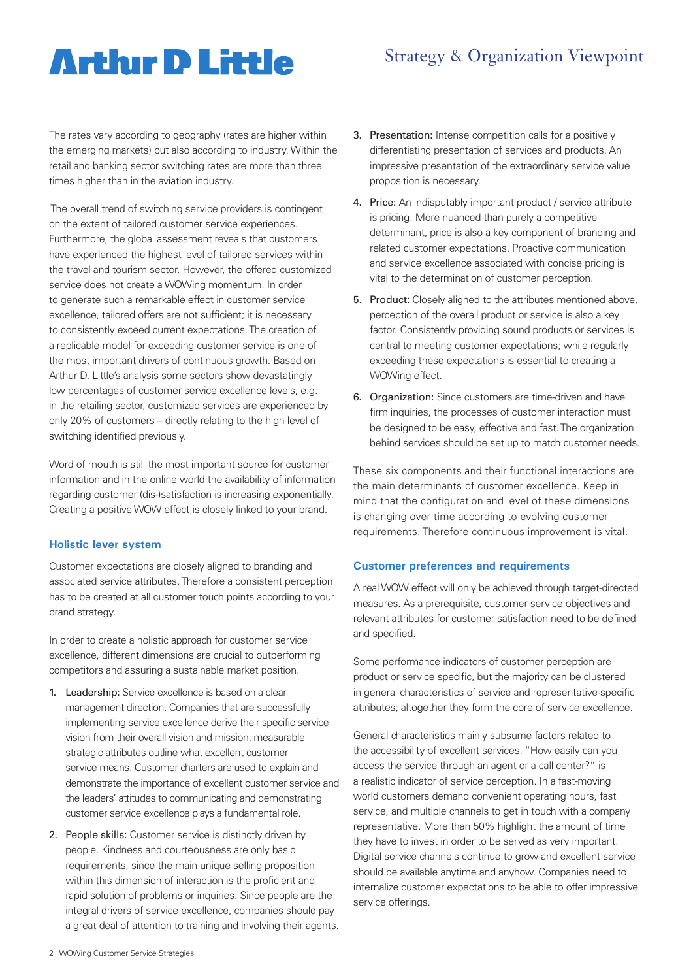# **Artlur D Little**

## Strategy & Organization Viewpoint

The rates vary according to geography (rates are higher within the emerging markets) but also according to industry. Within the retail and banking sector switching rates are more than three times higher than in the aviation industry.

 The overall trend of switching service providers is contingent on the extent of tailored customer service experiences. Furthermore, the global assessment reveals that customers have experienced the highest level of tailored services within the travel and tourism sector. However, the offered customized service does not create a WOWing momentum. In order to generate such a remarkable effect in customer service excellence, tailored offers are not sufficient; it is necessary to consistently exceed current expectations. The creation of a replicable model for exceeding customer service is one of the most important drivers of continuous growth. Based on Arthur D. Little's analysis some sectors show devastatingly low percentages of customer service excellence levels, e.g. in the retailing sector, customized services are experienced by only 20% of customers – directly relating to the high level of switching identified previously.

Word of mouth is still the most important source for customer information and in the online world the availability of information regarding customer (dis-)satisfaction is increasing exponentially. Creating a positive WOW effect is closely linked to your brand.

#### **Holistic lever system**

Customer expectations are closely aligned to branding and associated service attributes. Therefore a consistent perception has to be created at all customer touch points according to your brand strategy.

In order to create a holistic approach for customer service excellence, different dimensions are crucial to outperforming competitors and assuring a sustainable market position.

- 1. Leadership: Service excellence is based on a clear management direction. Companies that are successfully implementing service excellence derive their specific service vision from their overall vision and mission; measurable strategic attributes outline what excellent customer service means. Customer charters are used to explain and demonstrate the importance of excellent customer service and the leaders' attitudes to communicating and demonstrating customer service excellence plays a fundamental role.
- 2. People skills: Customer service is distinctly driven by people. Kindness and courteousness are only basic requirements, since the main unique selling proposition within this dimension of interaction is the proficient and rapid solution of problems or inquiries. Since people are the integral drivers of service excellence, companies should pay a great deal of attention to training and involving their agents.
- 3. Presentation: Intense competition calls for a positively differentiating presentation of services and products. An impressive presentation of the extraordinary service value proposition is necessary.
- 4. Price: An indisputably important product / service attribute is pricing. More nuanced than purely a competitive determinant, price is also a key component of branding and related customer expectations. Proactive communication and service excellence associated with concise pricing is vital to the determination of customer perception.
- 5. Product: Closely aligned to the attributes mentioned above, perception of the overall product or service is also a key factor. Consistently providing sound products or services is central to meeting customer expectations; while regularly exceeding these expectations is essential to creating a WOWing effect.
- 6. Organization: Since customers are time-driven and have firm inquiries, the processes of customer interaction must be designed to be easy, effective and fast. The organization behind services should be set up to match customer needs.

These six components and their functional interactions are the main determinants of customer excellence. Keep in mind that the configuration and level of these dimensions is changing over time according to evolving customer requirements. Therefore continuous improvement is vital.

### **Customer preferences and requirements**

A real WOW effect will only be achieved through target-directed measures. As a prerequisite, customer service objectives and relevant attributes for customer satisfaction need to be defined and specified.

Some performance indicators of customer perception are product or service specific, but the majority can be clustered in general characteristics of service and representative-specific attributes; altogether they form the core of service excellence.

General characteristics mainly subsume factors related to the accessibility of excellent services. "How easily can you access the service through an agent or a call center?" is a realistic indicator of service perception. In a fast-moving world customers demand convenient operating hours, fast service, and multiple channels to get in touch with a company representative. More than 50% highlight the amount of time they have to invest in order to be served as very important. Digital service channels continue to grow and excellent service should be available anytime and anyhow. Companies need to internalize customer expectations to be able to offer impressive service offerings.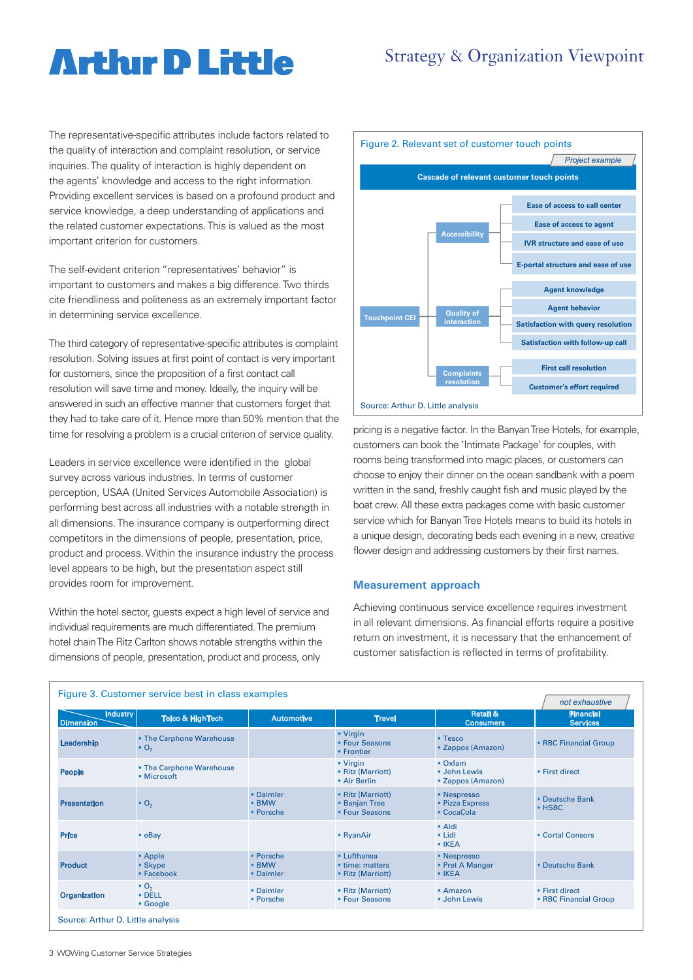### Strategy & Organization Viewpoint

# **Arthir D Little**

The representative-specific attributes include factors related to the quality of interaction and complaint resolution, or service inquiries. The quality of interaction is highly dependent on the agents' knowledge and access to the right information. Providing excellent services is based on a profound product and service knowledge, a deep understanding of applications and the related customer expectations. This is valued as the most important criterion for customers.

The self-evident criterion "representatives' behavior" is important to customers and makes a big difference. Two thirds cite friendliness and politeness as an extremely important factor in determining service excellence.

The third category of representative-specific attributes is complaint resolution. Solving issues at first point of contact is very important for customers, since the proposition of a first contact call resolution will save time and money. Ideally, the inquiry will be answered in such an effective manner that customers forget that they had to take care of it. Hence more than 50% mention that the time for resolving a problem is a crucial criterion of service quality.

Leaders in service excellence were identified in the global survey across various industries. In terms of customer perception, USAA (United Services Automobile Association) is performing best across all industries with a notable strength in all dimensions. The insurance company is outperforming direct competitors in the dimensions of people, presentation, price, product and process. Within the insurance industry the process level appears to be high, but the presentation aspect still provides room for improvement.

Within the hotel sector, quests expect a high level of service and individual requirements are much differentiated. The premium hotel chain The Ritz Carlton shows notable strengths within the dimensions of people, presentation, product and process, only



pricing is a negative factor. In the Banyan Tree Hotels, for example, customers can book the 'Intimate Package' for couples, with rooms being transformed into magic places, or customers can choose to enjoy their dinner on the ocean sandbank with a poem written in the sand, freshly caught fish and music played by the boat crew. All these extra packages come with basic customer service which for Banyan Tree Hotels means to build its hotels in a unique design, decorating beds each evening in a new, creative flower design and addressing customers by their first names.

#### **Measurement approach**

Achieving continuous service excellence requires investment in all relevant dimensions. As financial efforts require a positive return on investment, it is necessary that the enhancement of customer satisfaction is reflected in terms of profitability.

| Figure 3. Customer service best in class examples |                                                      |                                                     |                                                            |                                                           | not exhaustive                                 |  |
|---------------------------------------------------|------------------------------------------------------|-----------------------------------------------------|------------------------------------------------------------|-----------------------------------------------------------|------------------------------------------------|--|
| <b>Industry</b><br><b>Dimension</b>               | <b>Telco &amp; HighTech</b>                          | <b>Automotive</b>                                   | <b>Travel</b>                                              | <b>Retail &amp;</b><br><b>Consumers</b>                   | <b>Financial</b><br><b>Services</b>            |  |
| Leadership                                        | • The Carphone Warehouse<br>$\bullet$ O <sub>2</sub> |                                                     | $\blacksquare$ Virgin<br>• Four Seasons<br>• Frontier      | $\blacksquare$ Tesco<br>• Zappos (Amazon)                 | <b>- RBC Financial Group</b>                   |  |
| People                                            | . The Carphone Warehouse<br>• Microsoft              |                                                     | $\blacksquare$ Virgin<br>• Ritz (Marriott)<br>• Air Berlin | $\bullet$ Oxfam<br><b>John Lewis</b><br>• Zappos (Amazon) | • First direct                                 |  |
| <b>Presentation</b>                               | $\bullet$ O <sub>2</sub>                             | • Daimler<br><b>- BMW</b><br>$\blacksquare$ Porsche | • Ritz (Marriott)<br><b>Banjan Tree</b><br>• Four Seasons  | • Nespresso<br>• Pizza Express<br>$\blacksquare$ CocaCola | • Deutsche Bank<br>$·$ HSBC                    |  |
| Price                                             | $-e$ Bay                                             |                                                     | • RyanAir                                                  | • Aldi<br>$\blacksquare$ Lidl<br>$\blacksquare$ IKEA      | • Cortal Consors                               |  |
| <b>Product</b>                                    | • Apple<br>• Skype<br>• Facebook                     | • Porsche<br><b>- BMW</b><br>• Daimler              | • Lufthansa<br>• time: matters<br>• Ritz (Marriott)        | • Nespresso<br>• Pret A Manger<br>$\blacksquare$ IKEA     | • Deutsche Bank                                |  |
| <b>Organization</b>                               | $\bullet$ O <sub>2</sub><br>$\cdot$ DELL<br>• Google | • Daimler<br>• Porsche                              | • Ritz (Marriott)<br>• Four Seasons                        | $-Amaxon$<br><b>John Lewis</b>                            | • First direct<br><b>- RBC Financial Group</b> |  |